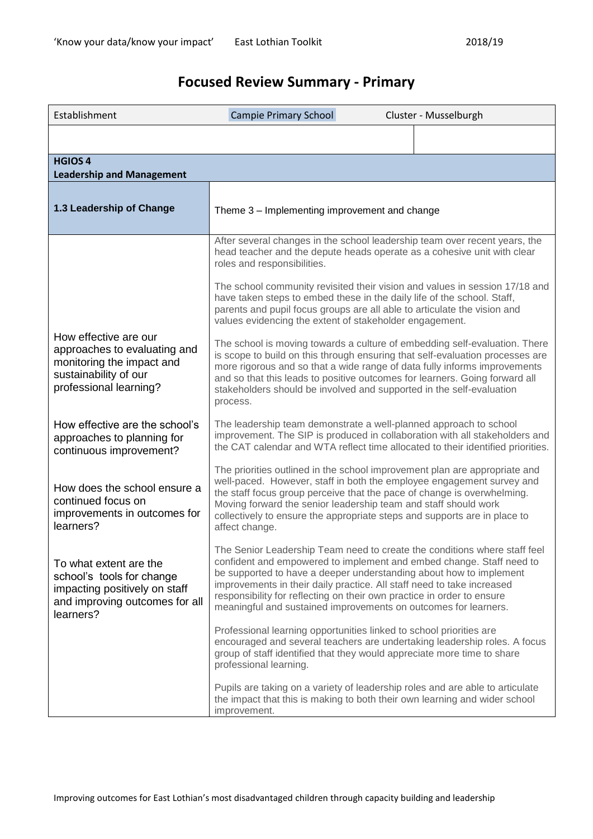# **Focused Review Summary - Primary**

| Establishment                                                                                                                         | Campie Primary School<br>Cluster - Musselburgh                                                                                                                                                                                                                                                                                                                                                                                                                                        |
|---------------------------------------------------------------------------------------------------------------------------------------|---------------------------------------------------------------------------------------------------------------------------------------------------------------------------------------------------------------------------------------------------------------------------------------------------------------------------------------------------------------------------------------------------------------------------------------------------------------------------------------|
|                                                                                                                                       |                                                                                                                                                                                                                                                                                                                                                                                                                                                                                       |
| <b>HGIOS 4</b><br><b>Leadership and Management</b>                                                                                    |                                                                                                                                                                                                                                                                                                                                                                                                                                                                                       |
| 1.3 Leadership of Change                                                                                                              | Theme 3 - Implementing improvement and change                                                                                                                                                                                                                                                                                                                                                                                                                                         |
|                                                                                                                                       | After several changes in the school leadership team over recent years, the<br>head teacher and the depute heads operate as a cohesive unit with clear<br>roles and responsibilities.<br>The school community revisited their vision and values in session 17/18 and<br>have taken steps to embed these in the daily life of the school. Staff,<br>parents and pupil focus groups are all able to articulate the vision and<br>values evidencing the extent of stakeholder engagement. |
| How effective are our<br>approaches to evaluating and<br>monitoring the impact and<br>sustainability of our<br>professional learning? | The school is moving towards a culture of embedding self-evaluation. There<br>is scope to build on this through ensuring that self-evaluation processes are<br>more rigorous and so that a wide range of data fully informs improvements<br>and so that this leads to positive outcomes for learners. Going forward all<br>stakeholders should be involved and supported in the self-evaluation<br>process.                                                                           |
| How effective are the school's<br>approaches to planning for<br>continuous improvement?                                               | The leadership team demonstrate a well-planned approach to school<br>improvement. The SIP is produced in collaboration with all stakeholders and<br>the CAT calendar and WTA reflect time allocated to their identified priorities.                                                                                                                                                                                                                                                   |
| How does the school ensure a<br>continued focus on<br>improvements in outcomes for<br>learners?                                       | The priorities outlined in the school improvement plan are appropriate and<br>well-paced. However, staff in both the employee engagement survey and<br>the staff focus group perceive that the pace of change is overwhelming.<br>Moving forward the senior leadership team and staff should work<br>collectively to ensure the appropriate steps and supports are in place to<br>affect change.                                                                                      |
| To what extent are the<br>school's tools for change<br>impacting positively on staff<br>and improving outcomes for all<br>learners?   | The Senior Leadership Team need to create the conditions where staff feel<br>confident and empowered to implement and embed change. Staff need to<br>be supported to have a deeper understanding about how to implement<br>improvements in their daily practice. All staff need to take increased<br>responsibility for reflecting on their own practice in order to ensure<br>meaningful and sustained improvements on outcomes for learners.                                        |
|                                                                                                                                       | Professional learning opportunities linked to school priorities are<br>encouraged and several teachers are undertaking leadership roles. A focus<br>group of staff identified that they would appreciate more time to share<br>professional learning.                                                                                                                                                                                                                                 |
|                                                                                                                                       | Pupils are taking on a variety of leadership roles and are able to articulate<br>the impact that this is making to both their own learning and wider school<br>improvement.                                                                                                                                                                                                                                                                                                           |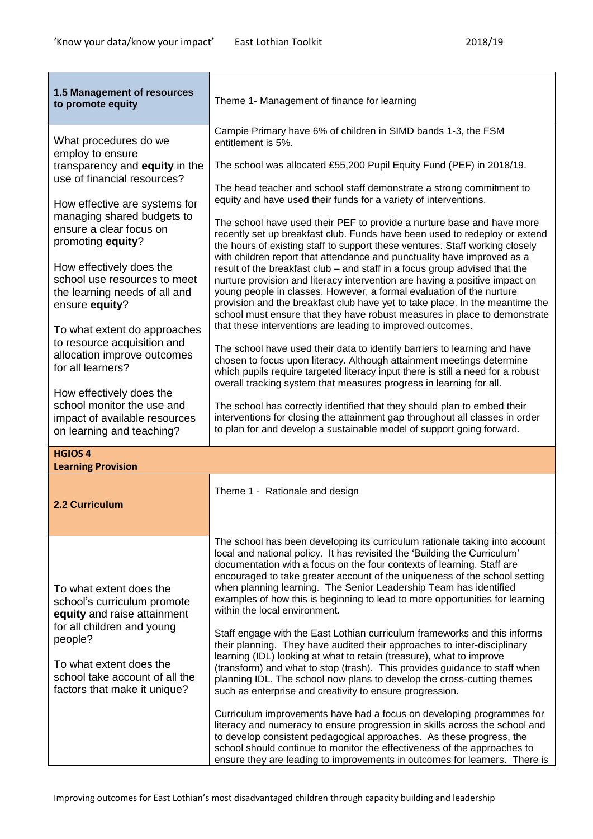| 1.5 Management of resources<br>to promote equity                                                                                                                                                                                                                                                                                                                                                                                                                                                                                                                                    | Theme 1- Management of finance for learning                                                                                                                                                                                                                                                                                                                                                                                                                                                                                                                                                                                                                                                                                                                                                                                                                                                                                                                                                                                                                                                                                                                                                                                                                                                                                                                                                                                                                                                                                                                                                                                                     |
|-------------------------------------------------------------------------------------------------------------------------------------------------------------------------------------------------------------------------------------------------------------------------------------------------------------------------------------------------------------------------------------------------------------------------------------------------------------------------------------------------------------------------------------------------------------------------------------|-------------------------------------------------------------------------------------------------------------------------------------------------------------------------------------------------------------------------------------------------------------------------------------------------------------------------------------------------------------------------------------------------------------------------------------------------------------------------------------------------------------------------------------------------------------------------------------------------------------------------------------------------------------------------------------------------------------------------------------------------------------------------------------------------------------------------------------------------------------------------------------------------------------------------------------------------------------------------------------------------------------------------------------------------------------------------------------------------------------------------------------------------------------------------------------------------------------------------------------------------------------------------------------------------------------------------------------------------------------------------------------------------------------------------------------------------------------------------------------------------------------------------------------------------------------------------------------------------------------------------------------------------|
| What procedures do we<br>employ to ensure<br>transparency and equity in the<br>use of financial resources?<br>How effective are systems for<br>managing shared budgets to<br>ensure a clear focus on<br>promoting equity?<br>How effectively does the<br>school use resources to meet<br>the learning needs of all and<br>ensure equity?<br>To what extent do approaches<br>to resource acquisition and<br>allocation improve outcomes<br>for all learners?<br>How effectively does the<br>school monitor the use and<br>impact of available resources<br>on learning and teaching? | Campie Primary have 6% of children in SIMD bands 1-3, the FSM<br>entitlement is 5%.<br>The school was allocated £55,200 Pupil Equity Fund (PEF) in 2018/19.<br>The head teacher and school staff demonstrate a strong commitment to<br>equity and have used their funds for a variety of interventions.<br>The school have used their PEF to provide a nurture base and have more<br>recently set up breakfast club. Funds have been used to redeploy or extend<br>the hours of existing staff to support these ventures. Staff working closely<br>with children report that attendance and punctuality have improved as a<br>result of the breakfast club – and staff in a focus group advised that the<br>nurture provision and literacy intervention are having a positive impact on<br>young people in classes. However, a formal evaluation of the nurture<br>provision and the breakfast club have yet to take place. In the meantime the<br>school must ensure that they have robust measures in place to demonstrate<br>that these interventions are leading to improved outcomes.<br>The school have used their data to identify barriers to learning and have<br>chosen to focus upon literacy. Although attainment meetings determine<br>which pupils require targeted literacy input there is still a need for a robust<br>overall tracking system that measures progress in learning for all.<br>The school has correctly identified that they should plan to embed their<br>interventions for closing the attainment gap throughout all classes in order<br>to plan for and develop a sustainable model of support going forward. |
| <b>HGIOS 4</b><br><b>Learning Provision</b>                                                                                                                                                                                                                                                                                                                                                                                                                                                                                                                                         |                                                                                                                                                                                                                                                                                                                                                                                                                                                                                                                                                                                                                                                                                                                                                                                                                                                                                                                                                                                                                                                                                                                                                                                                                                                                                                                                                                                                                                                                                                                                                                                                                                                 |
| 2.2 Curriculum                                                                                                                                                                                                                                                                                                                                                                                                                                                                                                                                                                      | Theme 1 - Rationale and design                                                                                                                                                                                                                                                                                                                                                                                                                                                                                                                                                                                                                                                                                                                                                                                                                                                                                                                                                                                                                                                                                                                                                                                                                                                                                                                                                                                                                                                                                                                                                                                                                  |
| To what extent does the<br>school's curriculum promote<br>equity and raise attainment<br>for all children and young<br>people?<br>To what extent does the<br>school take account of all the<br>factors that make it unique?                                                                                                                                                                                                                                                                                                                                                         | The school has been developing its curriculum rationale taking into account<br>local and national policy. It has revisited the 'Building the Curriculum'<br>documentation with a focus on the four contexts of learning. Staff are<br>encouraged to take greater account of the uniqueness of the school setting<br>when planning learning. The Senior Leadership Team has identified<br>examples of how this is beginning to lead to more opportunities for learning<br>within the local environment.<br>Staff engage with the East Lothian curriculum frameworks and this informs<br>their planning. They have audited their approaches to inter-disciplinary<br>learning (IDL) looking at what to retain (treasure), what to improve<br>(transform) and what to stop (trash). This provides guidance to staff when<br>planning IDL. The school now plans to develop the cross-cutting themes<br>such as enterprise and creativity to ensure progression.<br>Curriculum improvements have had a focus on developing programmes for<br>literacy and numeracy to ensure progression in skills across the school and                                                                                                                                                                                                                                                                                                                                                                                                                                                                                                                             |
|                                                                                                                                                                                                                                                                                                                                                                                                                                                                                                                                                                                     | to develop consistent pedagogical approaches. As these progress, the<br>school should continue to monitor the effectiveness of the approaches to<br>ensure they are leading to improvements in outcomes for learners. There is                                                                                                                                                                                                                                                                                                                                                                                                                                                                                                                                                                                                                                                                                                                                                                                                                                                                                                                                                                                                                                                                                                                                                                                                                                                                                                                                                                                                                  |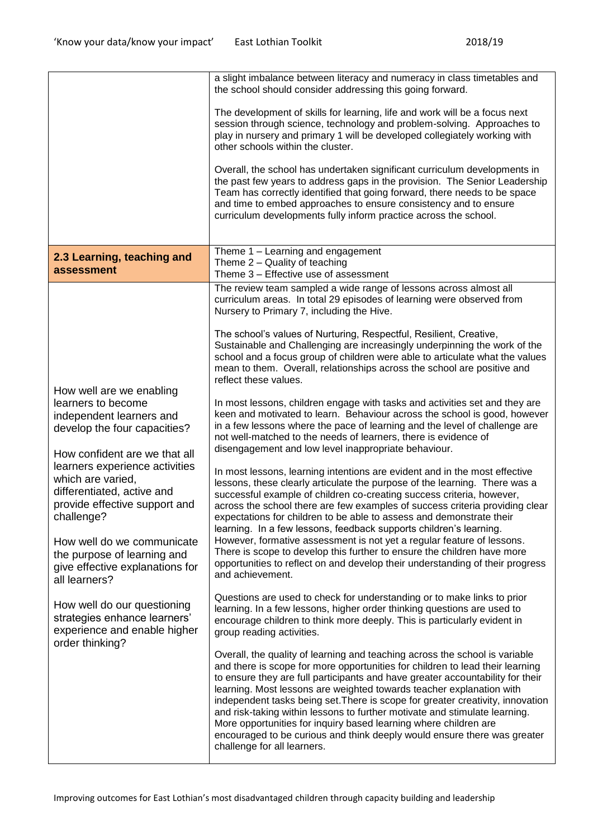|                                                                                                                                             | a slight imbalance between literacy and numeracy in class timetables and<br>the school should consider addressing this going forward.                                                                                                                                                                                                                                                                                                                                                                                                                                                                                                                                 |
|---------------------------------------------------------------------------------------------------------------------------------------------|-----------------------------------------------------------------------------------------------------------------------------------------------------------------------------------------------------------------------------------------------------------------------------------------------------------------------------------------------------------------------------------------------------------------------------------------------------------------------------------------------------------------------------------------------------------------------------------------------------------------------------------------------------------------------|
|                                                                                                                                             | The development of skills for learning, life and work will be a focus next<br>session through science, technology and problem-solving. Approaches to<br>play in nursery and primary 1 will be developed collegiately working with<br>other schools within the cluster.                                                                                                                                                                                                                                                                                                                                                                                                |
|                                                                                                                                             | Overall, the school has undertaken significant curriculum developments in<br>the past few years to address gaps in the provision. The Senior Leadership<br>Team has correctly identified that going forward, there needs to be space<br>and time to embed approaches to ensure consistency and to ensure<br>curriculum developments fully inform practice across the school.                                                                                                                                                                                                                                                                                          |
| 2.3 Learning, teaching and<br>assessment                                                                                                    | Theme 1 - Learning and engagement<br>Theme 2 - Quality of teaching<br>Theme 3 - Effective use of assessment                                                                                                                                                                                                                                                                                                                                                                                                                                                                                                                                                           |
|                                                                                                                                             | The review team sampled a wide range of lessons across almost all<br>curriculum areas. In total 29 episodes of learning were observed from<br>Nursery to Primary 7, including the Hive.                                                                                                                                                                                                                                                                                                                                                                                                                                                                               |
|                                                                                                                                             | The school's values of Nurturing, Respectful, Resilient, Creative,<br>Sustainable and Challenging are increasingly underpinning the work of the<br>school and a focus group of children were able to articulate what the values<br>mean to them. Overall, relationships across the school are positive and<br>reflect these values.                                                                                                                                                                                                                                                                                                                                   |
| How well are we enabling<br>learners to become<br>independent learners and<br>develop the four capacities?<br>How confident are we that all | In most lessons, children engage with tasks and activities set and they are<br>keen and motivated to learn. Behaviour across the school is good, however<br>in a few lessons where the pace of learning and the level of challenge are<br>not well-matched to the needs of learners, there is evidence of<br>disengagement and low level inappropriate behaviour.                                                                                                                                                                                                                                                                                                     |
| learners experience activities<br>which are varied,<br>differentiated, active and<br>provide effective support and<br>challenge?            | In most lessons, learning intentions are evident and in the most effective<br>lessons, these clearly articulate the purpose of the learning. There was a<br>successful example of children co-creating success criteria, however,<br>across the school there are few examples of success criteria providing clear<br>expectations for children to be able to assess and demonstrate their<br>learning. In a few lessons, feedback supports children's learning.                                                                                                                                                                                                       |
| How well do we communicate<br>the purpose of learning and<br>give effective explanations for<br>all learners?                               | However, formative assessment is not yet a regular feature of lessons.<br>There is scope to develop this further to ensure the children have more<br>opportunities to reflect on and develop their understanding of their progress<br>and achievement.                                                                                                                                                                                                                                                                                                                                                                                                                |
| How well do our questioning<br>strategies enhance learners'<br>experience and enable higher<br>order thinking?                              | Questions are used to check for understanding or to make links to prior<br>learning. In a few lessons, higher order thinking questions are used to<br>encourage children to think more deeply. This is particularly evident in<br>group reading activities.                                                                                                                                                                                                                                                                                                                                                                                                           |
|                                                                                                                                             | Overall, the quality of learning and teaching across the school is variable<br>and there is scope for more opportunities for children to lead their learning<br>to ensure they are full participants and have greater accountability for their<br>learning. Most lessons are weighted towards teacher explanation with<br>independent tasks being set. There is scope for greater creativity, innovation<br>and risk-taking within lessons to further motivate and stimulate learning.<br>More opportunities for inquiry based learning where children are<br>encouraged to be curious and think deeply would ensure there was greater<br>challenge for all learners. |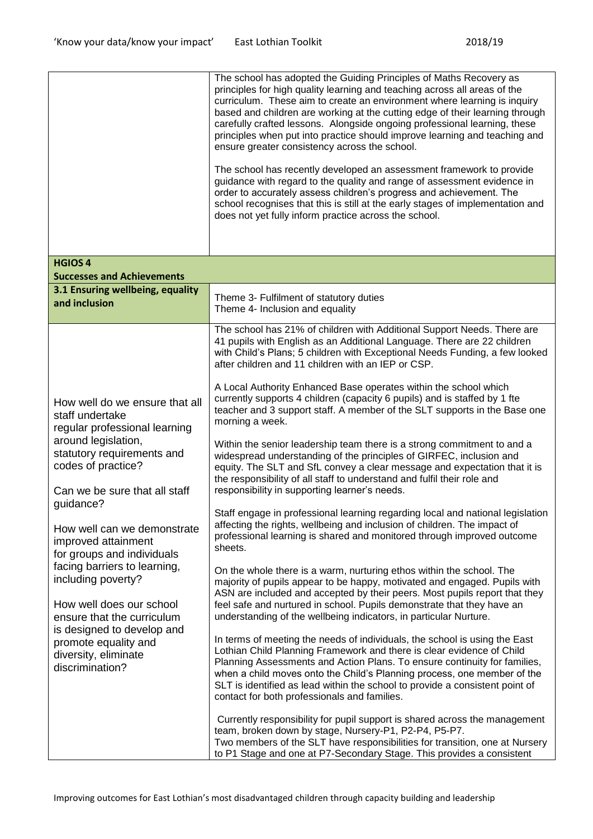|                                                                                                                                                                                                                                                                                                                                                                                                                                                                                                                  | The school has adopted the Guiding Principles of Maths Recovery as<br>principles for high quality learning and teaching across all areas of the<br>curriculum. These aim to create an environment where learning is inquiry<br>based and children are working at the cutting edge of their learning through<br>carefully crafted lessons. Alongside ongoing professional learning, these<br>principles when put into practice should improve learning and teaching and<br>ensure greater consistency across the school.<br>The school has recently developed an assessment framework to provide<br>guidance with regard to the quality and range of assessment evidence in<br>order to accurately assess children's progress and achievement. The<br>school recognises that this is still at the early stages of implementation and<br>does not yet fully inform practice across the school.                                                                                                                                                                                                                                                                                                                                                                                                                                                                                                                                                                                                                                                                                                                                                                                                                                                                                                                                                                                                                                                                                                                                                                                                                                   |
|------------------------------------------------------------------------------------------------------------------------------------------------------------------------------------------------------------------------------------------------------------------------------------------------------------------------------------------------------------------------------------------------------------------------------------------------------------------------------------------------------------------|--------------------------------------------------------------------------------------------------------------------------------------------------------------------------------------------------------------------------------------------------------------------------------------------------------------------------------------------------------------------------------------------------------------------------------------------------------------------------------------------------------------------------------------------------------------------------------------------------------------------------------------------------------------------------------------------------------------------------------------------------------------------------------------------------------------------------------------------------------------------------------------------------------------------------------------------------------------------------------------------------------------------------------------------------------------------------------------------------------------------------------------------------------------------------------------------------------------------------------------------------------------------------------------------------------------------------------------------------------------------------------------------------------------------------------------------------------------------------------------------------------------------------------------------------------------------------------------------------------------------------------------------------------------------------------------------------------------------------------------------------------------------------------------------------------------------------------------------------------------------------------------------------------------------------------------------------------------------------------------------------------------------------------------------------------------------------------------------------------------------------------|
| <b>HGIOS 4</b><br><b>Successes and Achievements</b>                                                                                                                                                                                                                                                                                                                                                                                                                                                              |                                                                                                                                                                                                                                                                                                                                                                                                                                                                                                                                                                                                                                                                                                                                                                                                                                                                                                                                                                                                                                                                                                                                                                                                                                                                                                                                                                                                                                                                                                                                                                                                                                                                                                                                                                                                                                                                                                                                                                                                                                                                                                                                |
| 3.1 Ensuring wellbeing, equality<br>and inclusion                                                                                                                                                                                                                                                                                                                                                                                                                                                                | Theme 3- Fulfilment of statutory duties<br>Theme 4- Inclusion and equality                                                                                                                                                                                                                                                                                                                                                                                                                                                                                                                                                                                                                                                                                                                                                                                                                                                                                                                                                                                                                                                                                                                                                                                                                                                                                                                                                                                                                                                                                                                                                                                                                                                                                                                                                                                                                                                                                                                                                                                                                                                     |
| How well do we ensure that all<br>staff undertake<br>regular professional learning<br>around legislation,<br>statutory requirements and<br>codes of practice?<br>Can we be sure that all staff<br>quidance?<br>How well can we demonstrate<br>improved attainment<br>for groups and individuals<br>facing barriers to learning,<br>including poverty?<br>How well does our school<br>ensure that the curriculum<br>is designed to develop and<br>promote equality and<br>diversity, eliminate<br>discrimination? | The school has 21% of children with Additional Support Needs. There are<br>41 pupils with English as an Additional Language. There are 22 children<br>with Child's Plans; 5 children with Exceptional Needs Funding, a few looked<br>after children and 11 children with an IEP or CSP.<br>A Local Authority Enhanced Base operates within the school which<br>currently supports 4 children (capacity 6 pupils) and is staffed by 1 fte<br>teacher and 3 support staff. A member of the SLT supports in the Base one<br>morning a week.<br>Within the senior leadership team there is a strong commitment to and a<br>widespread understanding of the principles of GIRFEC, inclusion and<br>equity. The SLT and SfL convey a clear message and expectation that it is<br>the responsibility of all staff to understand and fulfil their role and<br>responsibility in supporting learner's needs.<br>Staff engage in professional learning regarding local and national legislation<br>affecting the rights, wellbeing and inclusion of children. The impact of<br>professional learning is shared and monitored through improved outcome<br>sheets.<br>On the whole there is a warm, nurturing ethos within the school. The<br>majority of pupils appear to be happy, motivated and engaged. Pupils with<br>ASN are included and accepted by their peers. Most pupils report that they<br>feel safe and nurtured in school. Pupils demonstrate that they have an<br>understanding of the wellbeing indicators, in particular Nurture.<br>In terms of meeting the needs of individuals, the school is using the East<br>Lothian Child Planning Framework and there is clear evidence of Child<br>Planning Assessments and Action Plans. To ensure continuity for families,<br>when a child moves onto the Child's Planning process, one member of the<br>SLT is identified as lead within the school to provide a consistent point of<br>contact for both professionals and families.<br>Currently responsibility for pupil support is shared across the management<br>team, broken down by stage, Nursery-P1, P2-P4, P5-P7. |
|                                                                                                                                                                                                                                                                                                                                                                                                                                                                                                                  | Two members of the SLT have responsibilities for transition, one at Nursery<br>to P1 Stage and one at P7-Secondary Stage. This provides a consistent                                                                                                                                                                                                                                                                                                                                                                                                                                                                                                                                                                                                                                                                                                                                                                                                                                                                                                                                                                                                                                                                                                                                                                                                                                                                                                                                                                                                                                                                                                                                                                                                                                                                                                                                                                                                                                                                                                                                                                           |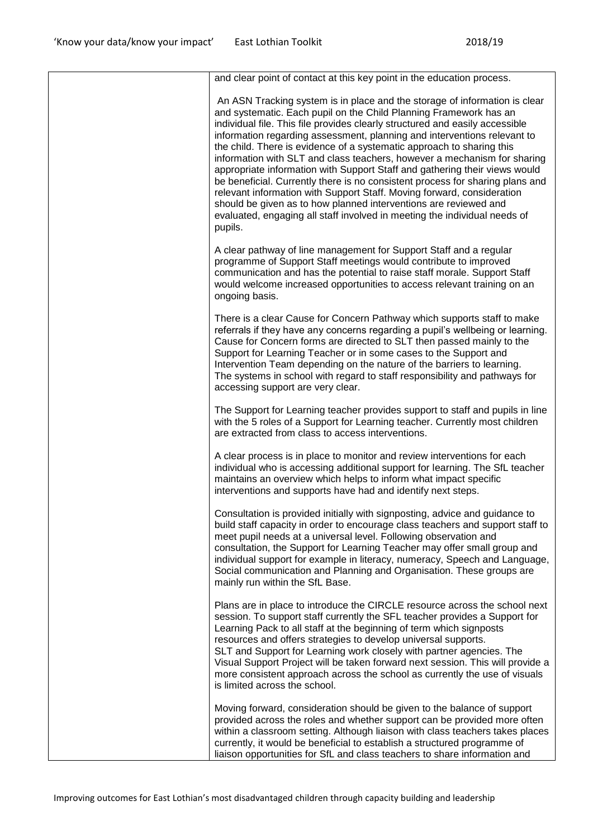| and clear point of contact at this key point in the education process.                                                                                                                                                                                                                                                                                                                                                                                                                                                                                                                                                                                                                                                                                                                                                                                                |
|-----------------------------------------------------------------------------------------------------------------------------------------------------------------------------------------------------------------------------------------------------------------------------------------------------------------------------------------------------------------------------------------------------------------------------------------------------------------------------------------------------------------------------------------------------------------------------------------------------------------------------------------------------------------------------------------------------------------------------------------------------------------------------------------------------------------------------------------------------------------------|
| An ASN Tracking system is in place and the storage of information is clear<br>and systematic. Each pupil on the Child Planning Framework has an<br>individual file. This file provides clearly structured and easily accessible<br>information regarding assessment, planning and interventions relevant to<br>the child. There is evidence of a systematic approach to sharing this<br>information with SLT and class teachers, however a mechanism for sharing<br>appropriate information with Support Staff and gathering their views would<br>be beneficial. Currently there is no consistent process for sharing plans and<br>relevant information with Support Staff. Moving forward, consideration<br>should be given as to how planned interventions are reviewed and<br>evaluated, engaging all staff involved in meeting the individual needs of<br>pupils. |
| A clear pathway of line management for Support Staff and a regular<br>programme of Support Staff meetings would contribute to improved<br>communication and has the potential to raise staff morale. Support Staff<br>would welcome increased opportunities to access relevant training on an<br>ongoing basis.                                                                                                                                                                                                                                                                                                                                                                                                                                                                                                                                                       |
| There is a clear Cause for Concern Pathway which supports staff to make<br>referrals if they have any concerns regarding a pupil's wellbeing or learning.<br>Cause for Concern forms are directed to SLT then passed mainly to the<br>Support for Learning Teacher or in some cases to the Support and<br>Intervention Team depending on the nature of the barriers to learning.<br>The systems in school with regard to staff responsibility and pathways for<br>accessing support are very clear.                                                                                                                                                                                                                                                                                                                                                                   |
| The Support for Learning teacher provides support to staff and pupils in line<br>with the 5 roles of a Support for Learning teacher. Currently most children<br>are extracted from class to access interventions.                                                                                                                                                                                                                                                                                                                                                                                                                                                                                                                                                                                                                                                     |
| A clear process is in place to monitor and review interventions for each<br>individual who is accessing additional support for learning. The SfL teacher<br>maintains an overview which helps to inform what impact specific<br>interventions and supports have had and identify next steps.                                                                                                                                                                                                                                                                                                                                                                                                                                                                                                                                                                          |
| Consultation is provided initially with signposting, advice and guidance to<br>build staff capacity in order to encourage class teachers and support staff to<br>meet pupil needs at a universal level. Following observation and<br>consultation, the Support for Learning Teacher may offer small group and<br>individual support for example in literacy, numeracy, Speech and Language,<br>Social communication and Planning and Organisation. These groups are<br>mainly run within the SfL Base.                                                                                                                                                                                                                                                                                                                                                                |
| Plans are in place to introduce the CIRCLE resource across the school next<br>session. To support staff currently the SFL teacher provides a Support for<br>Learning Pack to all staff at the beginning of term which signposts<br>resources and offers strategies to develop universal supports.<br>SLT and Support for Learning work closely with partner agencies. The<br>Visual Support Project will be taken forward next session. This will provide a<br>more consistent approach across the school as currently the use of visuals<br>is limited across the school.                                                                                                                                                                                                                                                                                            |
| Moving forward, consideration should be given to the balance of support<br>provided across the roles and whether support can be provided more often<br>within a classroom setting. Although liaison with class teachers takes places<br>currently, it would be beneficial to establish a structured programme of<br>liaison opportunities for SfL and class teachers to share information and                                                                                                                                                                                                                                                                                                                                                                                                                                                                         |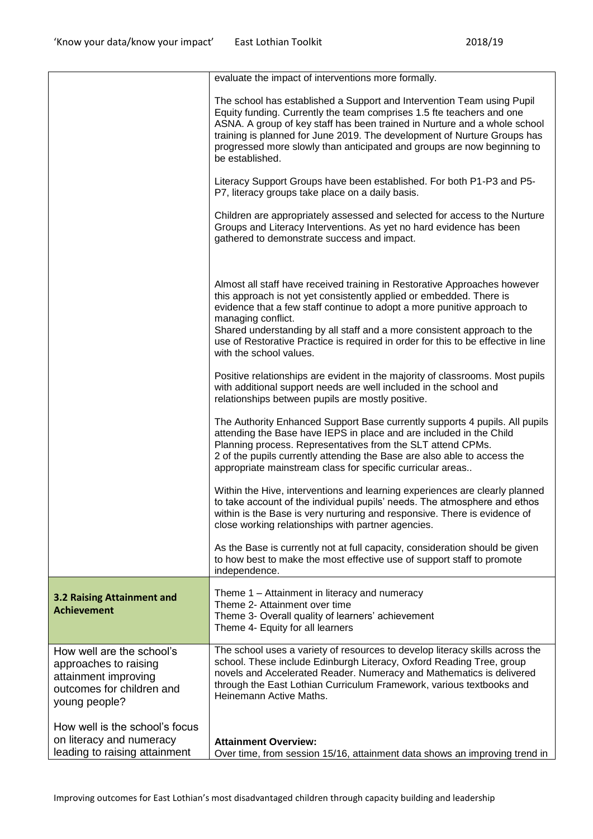|                                                                                                                          | evaluate the impact of interventions more formally.                                                                                                                                                                                                                                                                                                                                                                                          |
|--------------------------------------------------------------------------------------------------------------------------|----------------------------------------------------------------------------------------------------------------------------------------------------------------------------------------------------------------------------------------------------------------------------------------------------------------------------------------------------------------------------------------------------------------------------------------------|
|                                                                                                                          | The school has established a Support and Intervention Team using Pupil<br>Equity funding. Currently the team comprises 1.5 fte teachers and one<br>ASNA. A group of key staff has been trained in Nurture and a whole school<br>training is planned for June 2019. The development of Nurture Groups has<br>progressed more slowly than anticipated and groups are now beginning to<br>be established.                                       |
|                                                                                                                          | Literacy Support Groups have been established. For both P1-P3 and P5-<br>P7, literacy groups take place on a daily basis.                                                                                                                                                                                                                                                                                                                    |
|                                                                                                                          | Children are appropriately assessed and selected for access to the Nurture<br>Groups and Literacy Interventions. As yet no hard evidence has been<br>gathered to demonstrate success and impact.                                                                                                                                                                                                                                             |
|                                                                                                                          | Almost all staff have received training in Restorative Approaches however<br>this approach is not yet consistently applied or embedded. There is<br>evidence that a few staff continue to adopt a more punitive approach to<br>managing conflict.<br>Shared understanding by all staff and a more consistent approach to the<br>use of Restorative Practice is required in order for this to be effective in line<br>with the school values. |
|                                                                                                                          | Positive relationships are evident in the majority of classrooms. Most pupils<br>with additional support needs are well included in the school and<br>relationships between pupils are mostly positive.                                                                                                                                                                                                                                      |
|                                                                                                                          | The Authority Enhanced Support Base currently supports 4 pupils. All pupils<br>attending the Base have IEPS in place and are included in the Child<br>Planning process. Representatives from the SLT attend CPMs.<br>2 of the pupils currently attending the Base are also able to access the<br>appropriate mainstream class for specific curricular areas                                                                                  |
|                                                                                                                          | Within the Hive, interventions and learning experiences are clearly planned<br>to take account of the individual pupils' needs. The atmosphere and ethos<br>within is the Base is very nurturing and responsive. There is evidence of<br>close working relationships with partner agencies.                                                                                                                                                  |
|                                                                                                                          | As the Base is currently not at full capacity, consideration should be given<br>to how best to make the most effective use of support staff to promote<br>independence.                                                                                                                                                                                                                                                                      |
| 3.2 Raising Attainment and<br><b>Achievement</b>                                                                         | Theme 1 - Attainment in literacy and numeracy<br>Theme 2- Attainment over time<br>Theme 3- Overall quality of learners' achievement<br>Theme 4- Equity for all learners                                                                                                                                                                                                                                                                      |
| How well are the school's<br>approaches to raising<br>attainment improving<br>outcomes for children and<br>young people? | The school uses a variety of resources to develop literacy skills across the<br>school. These include Edinburgh Literacy, Oxford Reading Tree, group<br>novels and Accelerated Reader. Numeracy and Mathematics is delivered<br>through the East Lothian Curriculum Framework, various textbooks and<br>Heinemann Active Maths.                                                                                                              |
| How well is the school's focus<br>on literacy and numeracy<br>leading to raising attainment                              | <b>Attainment Overview:</b><br>Over time, from session 15/16, attainment data shows an improving trend in                                                                                                                                                                                                                                                                                                                                    |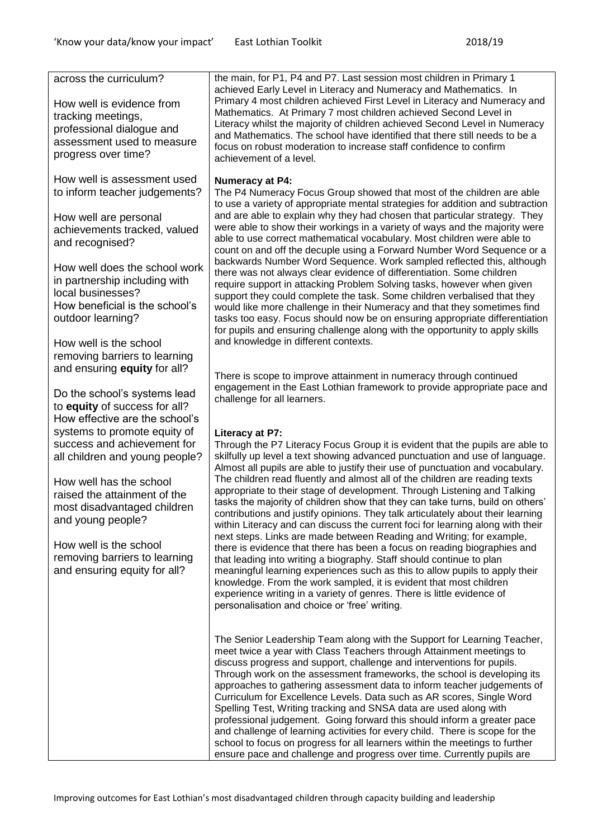| across the curriculum?<br>How well is evidence from<br>tracking meetings,<br>professional dialogue and<br>assessment used to measure<br>progress over time?                                                                                                                                                                                       | the main, for P1, P4 and P7. Last session most children in Primary 1<br>achieved Early Level in Literacy and Numeracy and Mathematics. In<br>Primary 4 most children achieved First Level in Literacy and Numeracy and<br>Mathematics. At Primary 7 most children achieved Second Level in<br>Literacy whilst the majority of children achieved Second Level in Numeracy<br>and Mathematics. The school have identified that there still needs to be a<br>focus on robust moderation to increase staff confidence to confirm<br>achievement of a level.                                                                                                                                                                                                                                                                                                                                                                                                                                                                                                                                                                                                                                         |
|---------------------------------------------------------------------------------------------------------------------------------------------------------------------------------------------------------------------------------------------------------------------------------------------------------------------------------------------------|-------------------------------------------------------------------------------------------------------------------------------------------------------------------------------------------------------------------------------------------------------------------------------------------------------------------------------------------------------------------------------------------------------------------------------------------------------------------------------------------------------------------------------------------------------------------------------------------------------------------------------------------------------------------------------------------------------------------------------------------------------------------------------------------------------------------------------------------------------------------------------------------------------------------------------------------------------------------------------------------------------------------------------------------------------------------------------------------------------------------------------------------------------------------------------------------------|
| How well is assessment used<br>to inform teacher judgements?<br>How well are personal<br>achievements tracked, valued<br>and recognised?<br>How well does the school work<br>in partnership including with<br>local businesses?<br>How beneficial is the school's<br>outdoor learning?<br>How well is the school<br>removing barriers to learning | <b>Numeracy at P4:</b><br>The P4 Numeracy Focus Group showed that most of the children are able<br>to use a variety of appropriate mental strategies for addition and subtraction<br>and are able to explain why they had chosen that particular strategy. They<br>were able to show their workings in a variety of ways and the majority were<br>able to use correct mathematical vocabulary. Most children were able to<br>count on and off the decuple using a Forward Number Word Sequence or a<br>backwards Number Word Sequence. Work sampled reflected this, although<br>there was not always clear evidence of differentiation. Some children<br>require support in attacking Problem Solving tasks, however when given<br>support they could complete the task. Some children verbalised that they<br>would like more challenge in their Numeracy and that they sometimes find<br>tasks too easy. Focus should now be on ensuring appropriate differentiation<br>for pupils and ensuring challenge along with the opportunity to apply skills<br>and knowledge in different contexts.                                                                                                  |
| and ensuring equity for all?<br>Do the school's systems lead<br>to equity of success for all?                                                                                                                                                                                                                                                     | There is scope to improve attainment in numeracy through continued<br>engagement in the East Lothian framework to provide appropriate pace and<br>challenge for all learners.                                                                                                                                                                                                                                                                                                                                                                                                                                                                                                                                                                                                                                                                                                                                                                                                                                                                                                                                                                                                                   |
| How effective are the school's<br>systems to promote equity of<br>success and achievement for<br>all children and young people?<br>How well has the school<br>raised the attainment of the<br>most disadvantaged children<br>and young people?<br>How well is the school<br>removing barriers to learning<br>and ensuring equity for all?         | Literacy at P7:<br>Through the P7 Literacy Focus Group it is evident that the pupils are able to<br>skilfully up level a text showing advanced punctuation and use of language.<br>Almost all pupils are able to justify their use of punctuation and vocabulary.<br>The children read fluently and almost all of the children are reading texts<br>appropriate to their stage of development. Through Listening and Talking<br>tasks the majority of children show that they can take turns, build on others'<br>contributions and justify opinions. They talk articulately about their learning<br>within Literacy and can discuss the current foci for learning along with their<br>next steps. Links are made between Reading and Writing; for example,<br>there is evidence that there has been a focus on reading biographies and<br>that leading into writing a biography. Staff should continue to plan<br>meaningful learning experiences such as this to allow pupils to apply their<br>knowledge. From the work sampled, it is evident that most children<br>experience writing in a variety of genres. There is little evidence of<br>personalisation and choice or 'free' writing. |
|                                                                                                                                                                                                                                                                                                                                                   | The Senior Leadership Team along with the Support for Learning Teacher,<br>meet twice a year with Class Teachers through Attainment meetings to<br>discuss progress and support, challenge and interventions for pupils.<br>Through work on the assessment frameworks, the school is developing its<br>approaches to gathering assessment data to inform teacher judgements of<br>Curriculum for Excellence Levels. Data such as AR scores, Single Word<br>Spelling Test, Writing tracking and SNSA data are used along with<br>professional judgement. Going forward this should inform a greater pace<br>and challenge of learning activities for every child. There is scope for the<br>school to focus on progress for all learners within the meetings to further<br>ensure pace and challenge and progress over time. Currently pupils are                                                                                                                                                                                                                                                                                                                                                |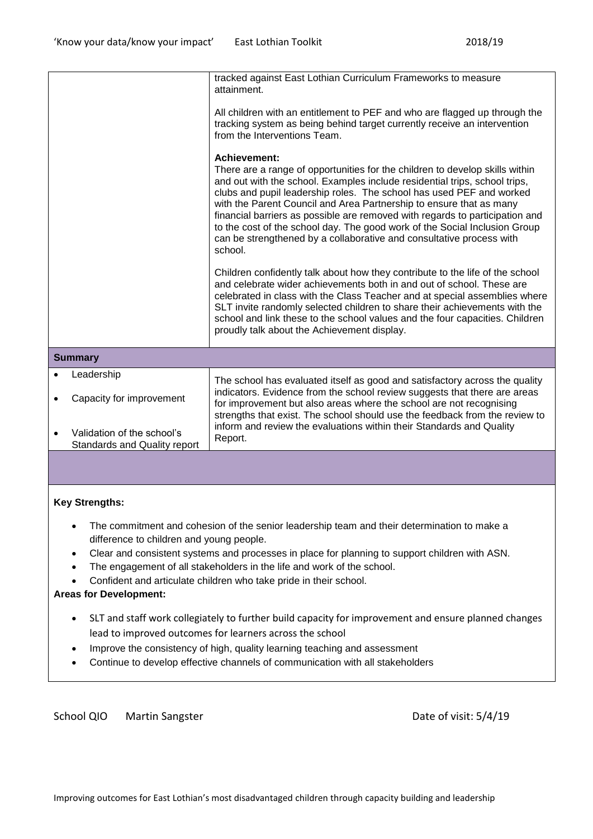|  |                                                            | tracked against East Lothian Curriculum Frameworks to measure<br>attainment.                                                                                                                                                                                                                                                                                                                                                                                                                                                                                                      |  |
|--|------------------------------------------------------------|-----------------------------------------------------------------------------------------------------------------------------------------------------------------------------------------------------------------------------------------------------------------------------------------------------------------------------------------------------------------------------------------------------------------------------------------------------------------------------------------------------------------------------------------------------------------------------------|--|
|  |                                                            | All children with an entitlement to PEF and who are flagged up through the<br>tracking system as being behind target currently receive an intervention<br>from the Interventions Team.                                                                                                                                                                                                                                                                                                                                                                                            |  |
|  |                                                            | <b>Achievement:</b><br>There are a range of opportunities for the children to develop skills within<br>and out with the school. Examples include residential trips, school trips,<br>clubs and pupil leadership roles. The school has used PEF and worked<br>with the Parent Council and Area Partnership to ensure that as many<br>financial barriers as possible are removed with regards to participation and<br>to the cost of the school day. The good work of the Social Inclusion Group<br>can be strengthened by a collaborative and consultative process with<br>school. |  |
|  |                                                            | Children confidently talk about how they contribute to the life of the school<br>and celebrate wider achievements both in and out of school. These are<br>celebrated in class with the Class Teacher and at special assemblies where<br>SLT invite randomly selected children to share their achievements with the<br>school and link these to the school values and the four capacities. Children<br>proudly talk about the Achievement display.                                                                                                                                 |  |
|  | <b>Summary</b>                                             |                                                                                                                                                                                                                                                                                                                                                                                                                                                                                                                                                                                   |  |
|  | Leadership                                                 | The school has evaluated itself as good and satisfactory across the quality                                                                                                                                                                                                                                                                                                                                                                                                                                                                                                       |  |
|  | Capacity for improvement                                   | indicators. Evidence from the school review suggests that there are areas<br>for improvement but also areas where the school are not recognising<br>strengths that exist. The school should use the feedback from the review to<br>inform and review the evaluations within their Standards and Quality<br>Report.                                                                                                                                                                                                                                                                |  |
|  | Validation of the school's<br>Standards and Quality report |                                                                                                                                                                                                                                                                                                                                                                                                                                                                                                                                                                                   |  |
|  |                                                            |                                                                                                                                                                                                                                                                                                                                                                                                                                                                                                                                                                                   |  |

### **Key Strengths:**

- The commitment and cohesion of the senior leadership team and their determination to make a difference to children and young people.
- Clear and consistent systems and processes in place for planning to support children with ASN.
- The engagement of all stakeholders in the life and work of the school.
- Confident and articulate children who take pride in their school.

### **Areas for Development:**

- SLT and staff work collegiately to further build capacity for improvement and ensure planned changes lead to improved outcomes for learners across the school
- Improve the consistency of high, quality learning teaching and assessment
- Continue to develop effective channels of communication with all stakeholders

#### School QIO Martin Sangster **Date of visit: 5/4/19**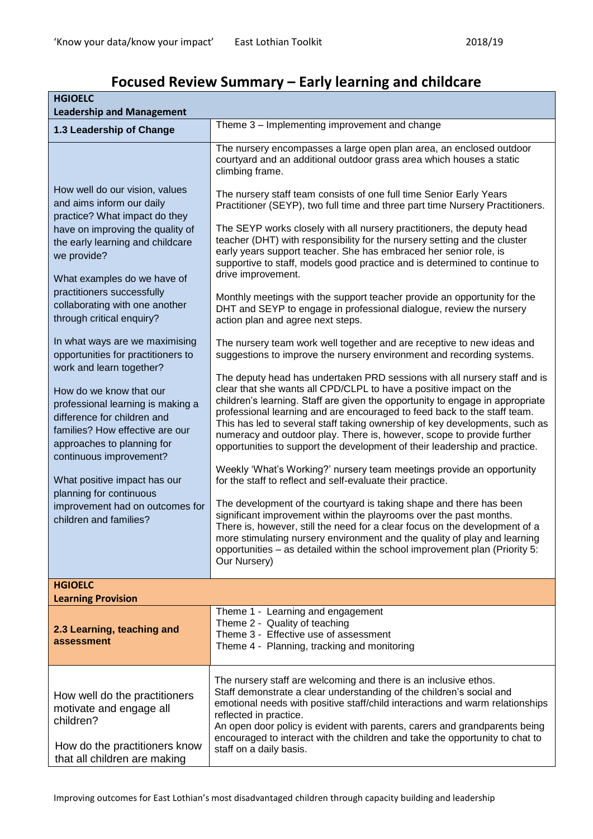| <b>HGIOELC</b><br><b>Leadership and Management</b>                                                                                                                                                                                                                                                                                                                                                                  |                                                                                                                                                                                                                                                                                                                                                                                                                                                                                                                                                                                                                                                                                                                                                                                                                                                                                                                                                                                                                       |  |
|---------------------------------------------------------------------------------------------------------------------------------------------------------------------------------------------------------------------------------------------------------------------------------------------------------------------------------------------------------------------------------------------------------------------|-----------------------------------------------------------------------------------------------------------------------------------------------------------------------------------------------------------------------------------------------------------------------------------------------------------------------------------------------------------------------------------------------------------------------------------------------------------------------------------------------------------------------------------------------------------------------------------------------------------------------------------------------------------------------------------------------------------------------------------------------------------------------------------------------------------------------------------------------------------------------------------------------------------------------------------------------------------------------------------------------------------------------|--|
| 1.3 Leadership of Change                                                                                                                                                                                                                                                                                                                                                                                            | Theme 3 – Implementing improvement and change                                                                                                                                                                                                                                                                                                                                                                                                                                                                                                                                                                                                                                                                                                                                                                                                                                                                                                                                                                         |  |
|                                                                                                                                                                                                                                                                                                                                                                                                                     | The nursery encompasses a large open plan area, an enclosed outdoor<br>courtyard and an additional outdoor grass area which houses a static<br>climbing frame.                                                                                                                                                                                                                                                                                                                                                                                                                                                                                                                                                                                                                                                                                                                                                                                                                                                        |  |
| How well do our vision, values<br>and aims inform our daily<br>practice? What impact do they<br>have on improving the quality of<br>the early learning and childcare<br>we provide?<br>What examples do we have of<br>practitioners successfully<br>collaborating with one another<br>through critical enquiry?<br>In what ways are we maximising<br>opportunities for practitioners to<br>work and learn together? | The nursery staff team consists of one full time Senior Early Years<br>Practitioner (SEYP), two full time and three part time Nursery Practitioners.<br>The SEYP works closely with all nursery practitioners, the deputy head<br>teacher (DHT) with responsibility for the nursery setting and the cluster<br>early years support teacher. She has embraced her senior role, is<br>supportive to staff, models good practice and is determined to continue to<br>drive improvement.<br>Monthly meetings with the support teacher provide an opportunity for the<br>DHT and SEYP to engage in professional dialogue, review the nursery<br>action plan and agree next steps.<br>The nursery team work well together and are receptive to new ideas and<br>suggestions to improve the nursery environment and recording systems.<br>The deputy head has undertaken PRD sessions with all nursery staff and is                                                                                                          |  |
| How do we know that our<br>professional learning is making a<br>difference for children and<br>families? How effective are our<br>approaches to planning for<br>continuous improvement?<br>What positive impact has our<br>planning for continuous<br>improvement had on outcomes for<br>children and families?                                                                                                     | clear that she wants all CPD/CLPL to have a positive impact on the<br>children's learning. Staff are given the opportunity to engage in appropriate<br>professional learning and are encouraged to feed back to the staff team.<br>This has led to several staff taking ownership of key developments, such as<br>numeracy and outdoor play. There is, however, scope to provide further<br>opportunities to support the development of their leadership and practice.<br>Weekly 'What's Working?' nursery team meetings provide an opportunity<br>for the staff to reflect and self-evaluate their practice.<br>The development of the courtyard is taking shape and there has been<br>significant improvement within the playrooms over the past months.<br>There is, however, still the need for a clear focus on the development of a<br>more stimulating nursery environment and the quality of play and learning<br>opportunities - as detailed within the school improvement plan (Priority 5:<br>Our Nursery) |  |
| <b>HGIOELC</b><br><b>Learning Provision</b>                                                                                                                                                                                                                                                                                                                                                                         |                                                                                                                                                                                                                                                                                                                                                                                                                                                                                                                                                                                                                                                                                                                                                                                                                                                                                                                                                                                                                       |  |
| 2.3 Learning, teaching and<br>assessment                                                                                                                                                                                                                                                                                                                                                                            | Theme 1 - Learning and engagement<br>Theme 2 - Quality of teaching<br>Theme 3 - Effective use of assessment<br>Theme 4 - Planning, tracking and monitoring                                                                                                                                                                                                                                                                                                                                                                                                                                                                                                                                                                                                                                                                                                                                                                                                                                                            |  |
| How well do the practitioners<br>motivate and engage all<br>children?<br>How do the practitioners know<br>that all children are making                                                                                                                                                                                                                                                                              | The nursery staff are welcoming and there is an inclusive ethos.<br>Staff demonstrate a clear understanding of the children's social and<br>emotional needs with positive staff/child interactions and warm relationships<br>reflected in practice.<br>An open door policy is evident with parents, carers and grandparents being<br>encouraged to interact with the children and take the opportunity to chat to<br>staff on a daily basis.                                                                                                                                                                                                                                                                                                                                                                                                                                                                                                                                                                          |  |

# **Focused Review Summary – Early learning and childcare**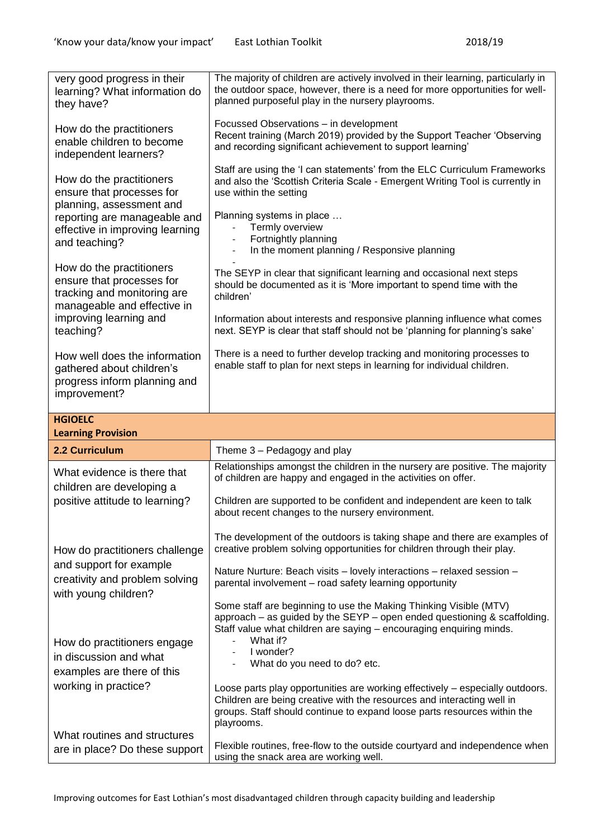| very good progress in their<br>learning? What information do<br>they have?                                          | The majority of children are actively involved in their learning, particularly in<br>the outdoor space, however, there is a need for more opportunities for well-<br>planned purposeful play in the nursery playrooms.                            |
|---------------------------------------------------------------------------------------------------------------------|---------------------------------------------------------------------------------------------------------------------------------------------------------------------------------------------------------------------------------------------------|
| How do the practitioners<br>enable children to become<br>independent learners?                                      | Focussed Observations - in development<br>Recent training (March 2019) provided by the Support Teacher 'Observing<br>and recording significant achievement to support learning'                                                                   |
| How do the practitioners<br>ensure that processes for<br>planning, assessment and                                   | Staff are using the 'I can statements' from the ELC Curriculum Frameworks<br>and also the 'Scottish Criteria Scale - Emergent Writing Tool is currently in<br>use within the setting                                                              |
| reporting are manageable and<br>effective in improving learning<br>and teaching?                                    | Planning systems in place<br>Termly overview<br>Fortnightly planning<br>In the moment planning / Responsive planning<br>$\overline{\phantom{a}}$                                                                                                  |
| How do the practitioners<br>ensure that processes for<br>tracking and monitoring are<br>manageable and effective in | The SEYP in clear that significant learning and occasional next steps<br>should be documented as it is 'More important to spend time with the<br>children'                                                                                        |
| improving learning and<br>teaching?                                                                                 | Information about interests and responsive planning influence what comes<br>next. SEYP is clear that staff should not be 'planning for planning's sake'                                                                                           |
| How well does the information<br>gathered about children's<br>progress inform planning and<br>improvement?          | There is a need to further develop tracking and monitoring processes to<br>enable staff to plan for next steps in learning for individual children.                                                                                               |
| <b>HGIOELC</b>                                                                                                      |                                                                                                                                                                                                                                                   |
|                                                                                                                     |                                                                                                                                                                                                                                                   |
| <b>Learning Provision</b>                                                                                           |                                                                                                                                                                                                                                                   |
| 2.2 Curriculum                                                                                                      | Theme 3 - Pedagogy and play                                                                                                                                                                                                                       |
| What evidence is there that<br>children are developing a                                                            | Relationships amongst the children in the nursery are positive. The majority<br>of children are happy and engaged in the activities on offer.                                                                                                     |
| positive attitude to learning?                                                                                      | Children are supported to be confident and independent are keen to talk<br>about recent changes to the nursery environment.                                                                                                                       |
| How do practitioners challenge                                                                                      | The development of the outdoors is taking shape and there are examples of<br>creative problem solving opportunities for children through their play.                                                                                              |
| and support for example<br>creativity and problem solving                                                           | Nature Nurture: Beach visits - lovely interactions - relaxed session -<br>parental involvement - road safety learning opportunity                                                                                                                 |
| with young children?                                                                                                | Some staff are beginning to use the Making Thinking Visible (MTV)<br>approach $-$ as guided by the SEYP $-$ open ended questioning & scaffolding.<br>Staff value what children are saying - encouraging enquiring minds.                          |
| How do practitioners engage<br>in discussion and what                                                               | What if?<br>I wonder?<br>$\overline{\phantom{a}}$<br>What do you need to do? etc.                                                                                                                                                                 |
| examples are there of this<br>working in practice?<br>What routines and structures                                  | Loose parts play opportunities are working effectively – especially outdoors.<br>Children are being creative with the resources and interacting well in<br>groups. Staff should continue to expand loose parts resources within the<br>playrooms. |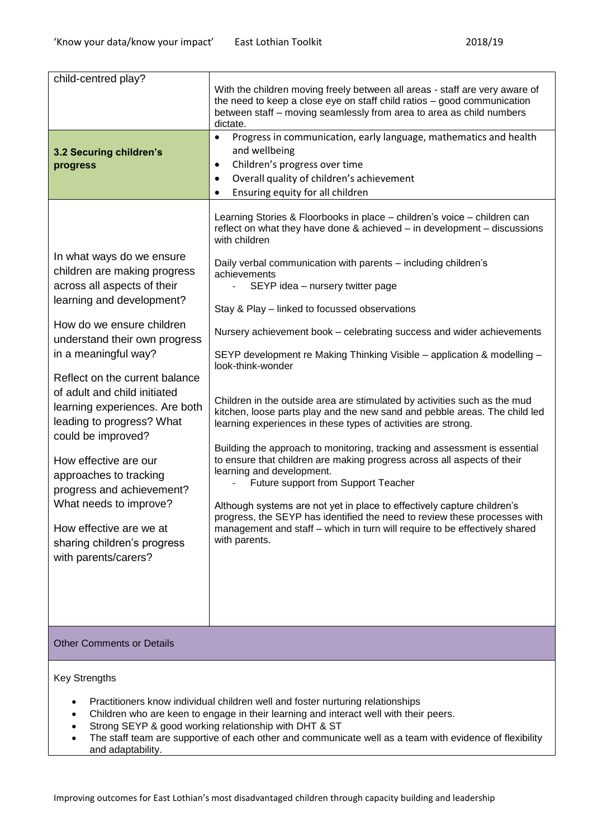| child-centred play?                                                                                                                                                                                                                                                                                                                                                                                                                                                                                                                                            | With the children moving freely between all areas - staff are very aware of<br>the need to keep a close eye on staff child ratios - good communication<br>between staff - moving seamlessly from area to area as child numbers<br>dictate.<br>Progress in communication, early language, mathematics and health                                                                                                                                                                                                                                                                                                                                                                                                                                                                                                                                                                                                                                                                                                                                                                                                                                                                                                                      |
|----------------------------------------------------------------------------------------------------------------------------------------------------------------------------------------------------------------------------------------------------------------------------------------------------------------------------------------------------------------------------------------------------------------------------------------------------------------------------------------------------------------------------------------------------------------|--------------------------------------------------------------------------------------------------------------------------------------------------------------------------------------------------------------------------------------------------------------------------------------------------------------------------------------------------------------------------------------------------------------------------------------------------------------------------------------------------------------------------------------------------------------------------------------------------------------------------------------------------------------------------------------------------------------------------------------------------------------------------------------------------------------------------------------------------------------------------------------------------------------------------------------------------------------------------------------------------------------------------------------------------------------------------------------------------------------------------------------------------------------------------------------------------------------------------------------|
| 3.2 Securing children's<br>progress                                                                                                                                                                                                                                                                                                                                                                                                                                                                                                                            | and wellbeing<br>Children's progress over time<br>$\bullet$<br>Overall quality of children's achievement<br>Ensuring equity for all children<br>٠                                                                                                                                                                                                                                                                                                                                                                                                                                                                                                                                                                                                                                                                                                                                                                                                                                                                                                                                                                                                                                                                                    |
| In what ways do we ensure<br>children are making progress<br>across all aspects of their<br>learning and development?<br>How do we ensure children<br>understand their own progress<br>in a meaningful way?<br>Reflect on the current balance<br>of adult and child initiated<br>learning experiences. Are both<br>leading to progress? What<br>could be improved?<br>How effective are our<br>approaches to tracking<br>progress and achievement?<br>What needs to improve?<br>How effective are we at<br>sharing children's progress<br>with parents/carers? | Learning Stories & Floorbooks in place - children's voice - children can<br>reflect on what they have done & achieved – in development – discussions<br>with children<br>Daily verbal communication with parents - including children's<br>achievements<br>SEYP idea - nursery twitter page<br>Stay & Play - linked to focussed observations<br>Nursery achievement book – celebrating success and wider achievements<br>SEYP development re Making Thinking Visible - application & modelling -<br>look-think-wonder<br>Children in the outside area are stimulated by activities such as the mud<br>kitchen, loose parts play and the new sand and pebble areas. The child led<br>learning experiences in these types of activities are strong.<br>Building the approach to monitoring, tracking and assessment is essential<br>to ensure that children are making progress across all aspects of their<br>learning and development.<br>Future support from Support Teacher<br>Although systems are not yet in place to effectively capture children's<br>progress, the SEYP has identified the need to review these processes with<br>management and staff - which in turn will require to be effectively shared<br>with parents. |
| <b>Other Comments or Details</b>                                                                                                                                                                                                                                                                                                                                                                                                                                                                                                                               |                                                                                                                                                                                                                                                                                                                                                                                                                                                                                                                                                                                                                                                                                                                                                                                                                                                                                                                                                                                                                                                                                                                                                                                                                                      |

Key Strengths

- Practitioners know individual children well and foster nurturing relationships
- Children who are keen to engage in their learning and interact well with their peers.
- Strong SEYP & good working relationship with DHT & ST
- The staff team are supportive of each other and communicate well as a team with evidence of flexibility and adaptability.